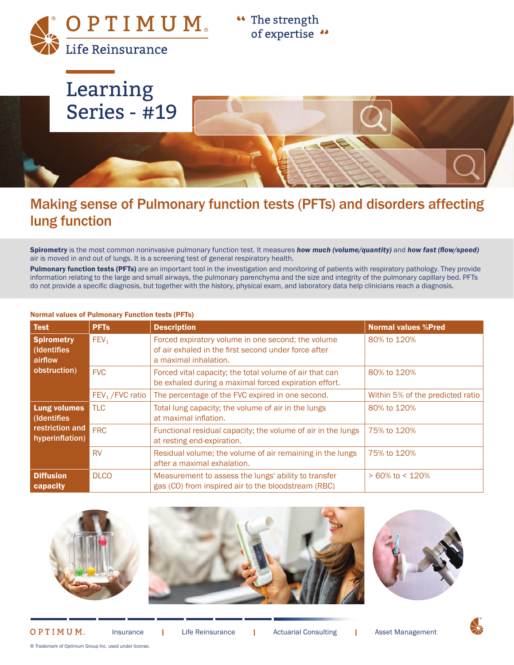OPTIMUM Life Reinsurance

"The strength of expertise ••



## Making sense of Pulmonary function tests (PFTs) and disorders affecting lung function

Spirometry is the most common noninvasive pulmonary function test. It measures *how much (volume/quantity)* and *how fast (flow/speed)* air is moved in and out of lungs. It is a screening test of general respiratory health.

Pulmonary function tests (PFTs) are an important tool in the investigation and monitoring of patients with respiratory pathology. They provide information relating to the large and small airways, the pulmonary parenchyma and the size and integrity of the pulmonary capillary bed. PFTs do not provide a specific diagnosis, but together with the history, physical exam, and laboratory data help clinicians reach a diagnosis.

| <b>Test</b>                                                              | <b>PFTs</b>                  | <b>Description</b>                                                                                                                  | <b>Normal values %Pred</b>       |
|--------------------------------------------------------------------------|------------------------------|-------------------------------------------------------------------------------------------------------------------------------------|----------------------------------|
| <b>Spirometry</b><br>(Identifies<br>airflow                              | FEV <sub>1</sub>             | Forced expiratory volume in one second; the volume<br>of air exhaled in the first second under force after<br>a maximal inhalation. | 80% to 120%                      |
| obstruction)                                                             | <b>FVC</b>                   | Forced vital capacity; the total volume of air that can<br>be exhaled during a maximal forced expiration effort.                    | 80% to 120%                      |
|                                                                          | FEV <sub>1</sub> / FVC ratio | The percentage of the FVC expired in one second.                                                                                    | Within 5% of the predicted ratio |
| <b>Lung volumes</b><br>(Identifies<br>restriction and<br>hyperinflation) | <b>TLC</b>                   | Total lung capacity; the volume of air in the lungs<br>at maximal inflation.                                                        | 80% to 120%                      |
|                                                                          | <b>FRC</b>                   | Functional residual capacity; the volume of air in the lungs<br>at resting end-expiration.                                          | 75% to 120%                      |
|                                                                          | <b>RV</b>                    | Residual volume; the volume of air remaining in the lungs<br>after a maximal exhalation.                                            | 75% to 120%                      |
| <b>Diffusion</b><br>capacity                                             | <b>DLCO</b>                  | Measurement to assess the lungs' ability to transfer<br>gas (CO) from inspired air to the bloodstream (RBC)                         | $> 60\%$ to < 120%               |

#### Normal values of Pulmonary Function tests (PFTs)





#### OPTIMUM.

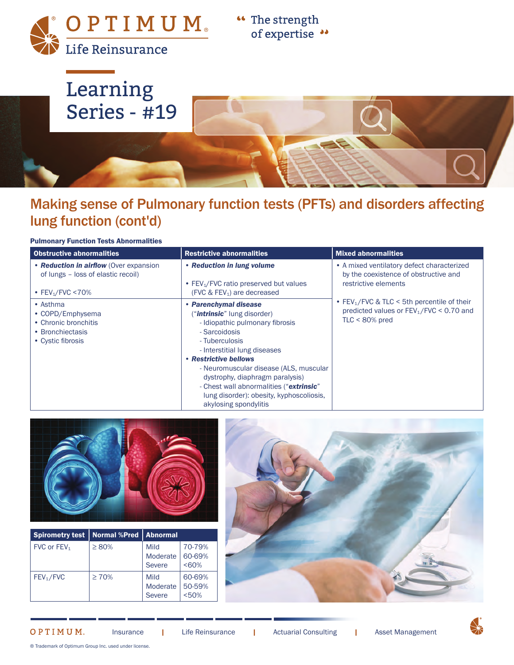OPTIMUM Life Reinsurance

**"** The strength of expertise "



# Making sense of Pulmonary function tests (PFTs) and disorders affecting lung function (cont'd)

#### Pulmonary Function Tests Abnormalities

| <b>Obstructive abnormalities</b>                                                                              | <b>Restrictive abnormalities</b>                                                                                                                                                                                                                                                                                                                                                          | <b>Mixed abnormalities</b>                                                                                                 |  |
|---------------------------------------------------------------------------------------------------------------|-------------------------------------------------------------------------------------------------------------------------------------------------------------------------------------------------------------------------------------------------------------------------------------------------------------------------------------------------------------------------------------------|----------------------------------------------------------------------------------------------------------------------------|--|
| • Reduction in airflow (Over expansion<br>of lungs - loss of elastic recoil)<br>• FEV <sub>1</sub> /FVC < 70% | • Reduction in lung volume<br>• FEV1/FVC ratio preserved but values<br>(FVC $&$ FEV <sub>1</sub> ) are decreased                                                                                                                                                                                                                                                                          | • A mixed ventilatory defect characterized<br>by the coexistence of obstructive and<br>restrictive elements                |  |
| • Asthma<br>• COPD/Emphysema<br>• Chronic bronchitis<br>• Bronchiectasis<br>• Cystic fibrosis                 | • Parenchymal disease<br>(" <i>intrinsic</i> " lung disorder)<br>- Idiopathic pulmonary fibrosis<br>- Sarcoidosis<br>- Tuberculosis<br>- Interstitial lung diseases<br>• Restrictive bellows<br>- Neuromuscular disease (ALS, muscular<br>dystrophy, diaphragm paralysis)<br>- Chest wall abnormalities ("extrinsic"<br>lung disorder): obesity, kyphoscoliosis,<br>akylosing spondylitis | • FEV <sub>1</sub> /FVC & TLC < 5th percentile of their<br>predicted values or $FEV_1/FVC < 0.70$ and<br>$TLC < 80\%$ pred |  |



| <b>Spirometry test</b> | <b>Normal %Pred</b> | <b>Abnormal</b>                   |                             |
|------------------------|---------------------|-----------------------------------|-----------------------------|
| FVC or $FEV1$          | $\geq 80\%$         | Mild<br>Moderate<br><b>Severe</b> | 70-79%<br>60-69%<br>$&50\%$ |
| FEV <sub>1</sub> /FVC  | $\geq 70\%$         | Mild<br>Moderate<br><b>Severe</b> | 60-69%<br>50-59%<br>< 50%   |



#### OPTIMUM.